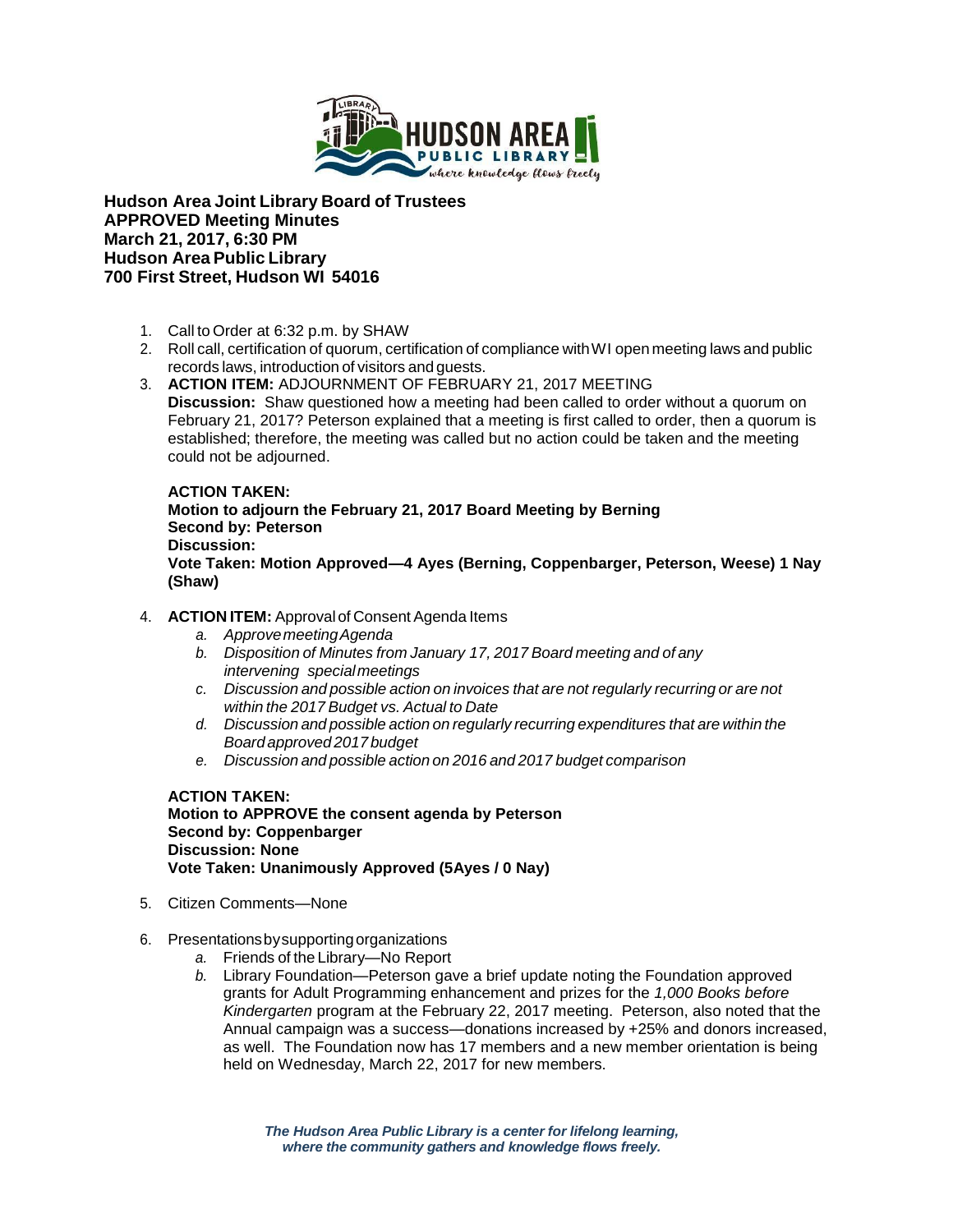

**Hudson Area Joint Library Board of Trustees APPROVED Meeting Minutes March 21, 2017, 6:30 PM Hudson Area Public Library 700 First Street, Hudson WI 54016**

- 1. Call to Order at 6:32 p.m. by SHAW
- 2. Roll call, certification of quorum, certification of compliance withWI open meeting laws and public records laws, introduction of visitors and guests.
- 3. **ACTION ITEM:** ADJOURNMENT OF FEBRUARY 21, 2017 MEETING **Discussion:** Shaw questioned how a meeting had been called to order without a quorum on February 21, 2017? Peterson explained that a meeting is first called to order, then a quorum is established; therefore, the meeting was called but no action could be taken and the meeting could not be adjourned.

## **ACTION TAKEN:**

**Motion to adjourn the February 21, 2017 Board Meeting by Berning Second by: Peterson Discussion: Vote Taken: Motion Approved—4 Ayes (Berning, Coppenbarger, Peterson, Weese) 1 Nay (Shaw)**

- 4. **ACTION ITEM:** Approval of Consent Agenda Items
	- *a. ApprovemeetingAgenda*
	- *b. Disposition of Minutes from January 17, 2017 Board meeting and of any intervening special meetings*
	- *c. Discussion and possible action on invoices that are not regularly recurring or are not within the 2017 Budget vs. Actual to Date*
	- *d. Discussion and possible action on regularly recurring expenditures that are within the Board approved 2017 budget*
	- *e. Discussion and possible action on 2016 and 2017 budget comparison*

**ACTION TAKEN: Motion to APPROVE the consent agenda by Peterson Second by: Coppenbarger Discussion: None Vote Taken: Unanimously Approved (5Ayes / 0 Nay)**

- 5. Citizen Comments—None
- 6. Presentationsbysupportingorganizations
	- *a.* Friends of the Library—No Report
	- *b.* Library Foundation—Peterson gave a brief update noting the Foundation approved grants for Adult Programming enhancement and prizes for the *1,000 Books before Kindergarten* program at the February 22, 2017 meeting. Peterson, also noted that the Annual campaign was a success—donations increased by +25% and donors increased, as well. The Foundation now has 17 members and a new member orientation is being held on Wednesday, March 22, 2017 for new members.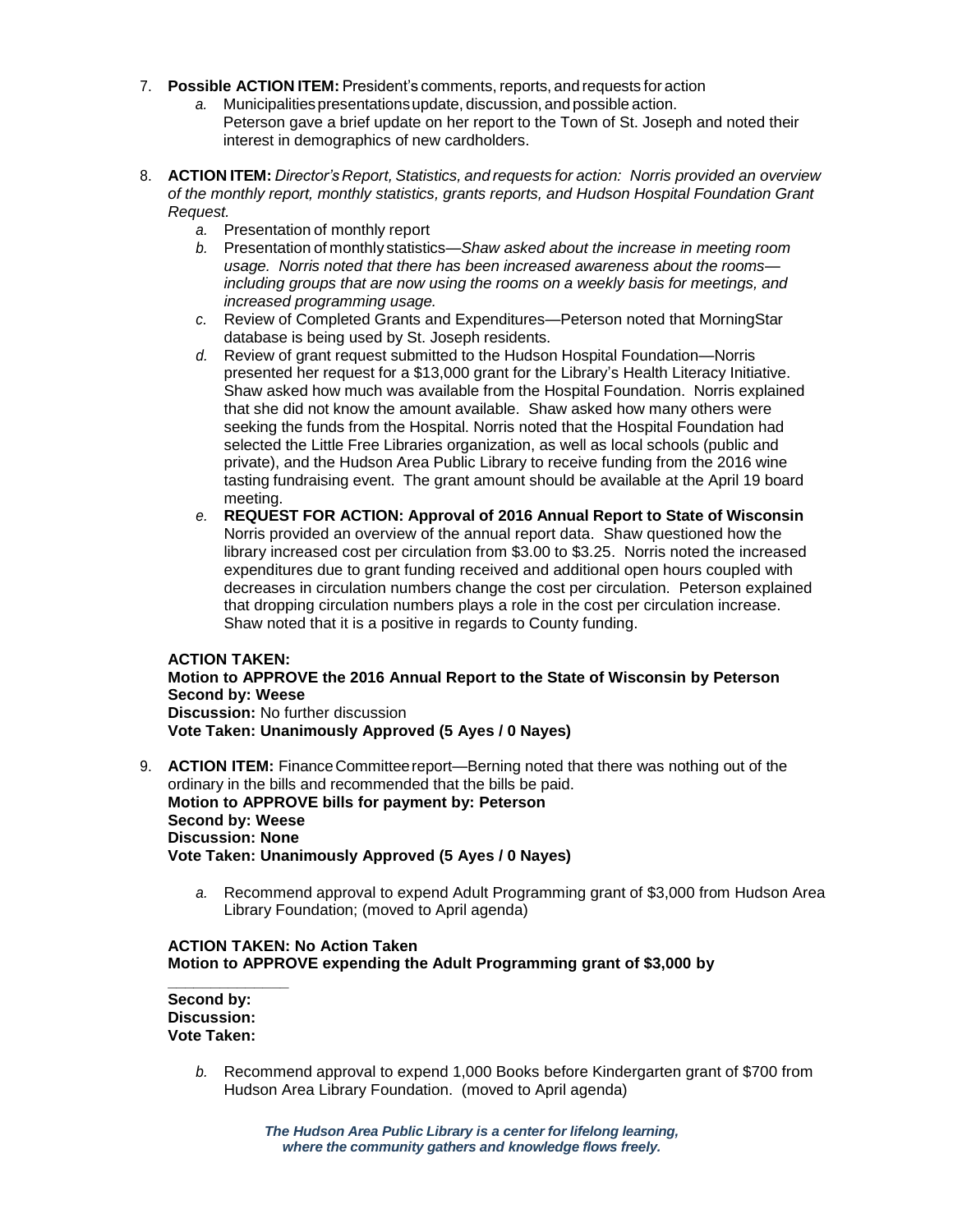- 7. **Possible ACTION ITEM:** President's comments, reports, and requests for action
	- *a.* Municipalitiespresentationsupdate, discussion, and possible action. Peterson gave a brief update on her report to the Town of St. Joseph and noted their interest in demographics of new cardholders.
- 8. **ACTION ITEM:** *Director's Report, Statistics, and requests for action: Norris provided an overview of the monthly report, monthly statistics, grants reports, and Hudson Hospital Foundation Grant Request.* 
	- *a.* Presentation of monthly report
	- *b.* Presentation of monthly statistics—*Shaw asked about the increase in meeting room usage. Norris noted that there has been increased awareness about the rooms including groups that are now using the rooms on a weekly basis for meetings, and increased programming usage.*
	- *c.* Review of Completed Grants and Expenditures—Peterson noted that MorningStar database is being used by St. Joseph residents.
	- *d.* Review of grant request submitted to the Hudson Hospital Foundation—Norris presented her request for a \$13,000 grant for the Library's Health Literacy Initiative. Shaw asked how much was available from the Hospital Foundation. Norris explained that she did not know the amount available. Shaw asked how many others were seeking the funds from the Hospital. Norris noted that the Hospital Foundation had selected the Little Free Libraries organization, as well as local schools (public and private), and the Hudson Area Public Library to receive funding from the 2016 wine tasting fundraising event. The grant amount should be available at the April 19 board meeting.
	- *e.* **REQUEST FOR ACTION: Approval of 2016 Annual Report to State of Wisconsin** Norris provided an overview of the annual report data. Shaw questioned how the library increased cost per circulation from \$3.00 to \$3.25. Norris noted the increased expenditures due to grant funding received and additional open hours coupled with decreases in circulation numbers change the cost per circulation. Peterson explained that dropping circulation numbers plays a role in the cost per circulation increase. Shaw noted that it is a positive in regards to County funding.

## **ACTION TAKEN:**

**Motion to APPROVE the 2016 Annual Report to the State of Wisconsin by Peterson Second by: Weese Discussion:** No further discussion **Vote Taken: Unanimously Approved (5 Ayes / 0 Nayes)**

- 9. **ACTION ITEM:** Finance Committee report—Berning noted that there was nothing out of the ordinary in the bills and recommended that the bills be paid. **Motion to APPROVE bills for payment by: Peterson Second by: Weese Discussion: None Vote Taken: Unanimously Approved (5 Ayes / 0 Nayes)**
	- *a.* Recommend approval to expend Adult Programming grant of \$3,000 from Hudson Area Library Foundation; (moved to April agenda)

## **ACTION TAKEN: No Action Taken Motion to APPROVE expending the Adult Programming grant of \$3,000 by**

**\_\_\_\_\_\_\_\_\_\_\_\_\_\_ Second by: Discussion: Vote Taken:**

> *b.* Recommend approval to expend 1,000 Books before Kindergarten grant of \$700 from Hudson Area Library Foundation. (moved to April agenda)

> > *The Hudson Area Public Library is a center for lifelong learning, where the community gathers and knowledge flows freely.*